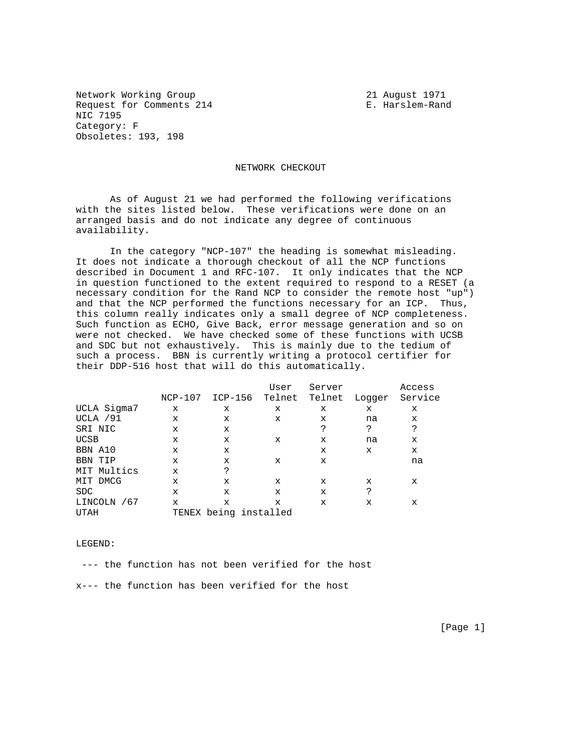Network Working Group 21 August 1971 Request for Comments 214 E. Harslem-Rand NIC 7195 Category: F Obsoletes: 193, 198

NETWORK CHECKOUT

 As of August 21 we had performed the following verifications with the sites listed below. These verifications were done on an arranged basis and do not indicate any degree of continuous availability.

 In the category "NCP-107" the heading is somewhat misleading. It does not indicate a thorough checkout of all the NCP functions described in Document 1 and RFC-107. It only indicates that the NCP in question functioned to the extent required to respond to a RESET (a necessary condition for the Rand NCP to consider the remote host "up") and that the NCP performed the functions necessary for an ICP. Thus, this column really indicates only a small degree of NCP completeness. Such function as ECHO, Give Back, error message generation and so on were not checked. We have checked some of these functions with UCSB and SDC but not exhaustively. This is mainly due to the tedium of such a process. BBN is currently writing a protocol certifier for their DDP-516 host that will do this automatically.

|             |             |                       | User        | Server      |        | Access  |
|-------------|-------------|-----------------------|-------------|-------------|--------|---------|
|             | $NCP-107$   | ICP-156               | Telnet      | Telnet      | Loqqer | Service |
| UCLA Sigma7 | X           | X                     | X           | X           | x      | X       |
| UCLA / 91   | X           | X                     | X           | X           | na     | X       |
| SRI NIC     | X           | X                     |             | S           | ?      | S       |
| <b>UCSB</b> | X           | $\mathbf x$           | X           | X           | na     | X       |
| BBN A10     | X           | X                     |             | X           | X      | x       |
| BBN TIP     | X           | X                     | X           | X           |        | na      |
| MIT Multics | $\mathbf x$ | P                     |             |             |        |         |
| MIT DMCG    | X           | X                     | X           | X           | x      | X       |
| <b>SDC</b>  | X           | $\mathbf x$           | $\mathbf x$ | $\mathbf x$ | S      |         |
| LINCOLN /67 | $\mathbf x$ | X                     | $\mathbf x$ | $\mathbf x$ | X      | X       |
| UTAH        |             | TENEX being installed |             |             |        |         |

LEGEND:

--- the function has not been verified for the host

x--- the function has been verified for the host

[Page 1]